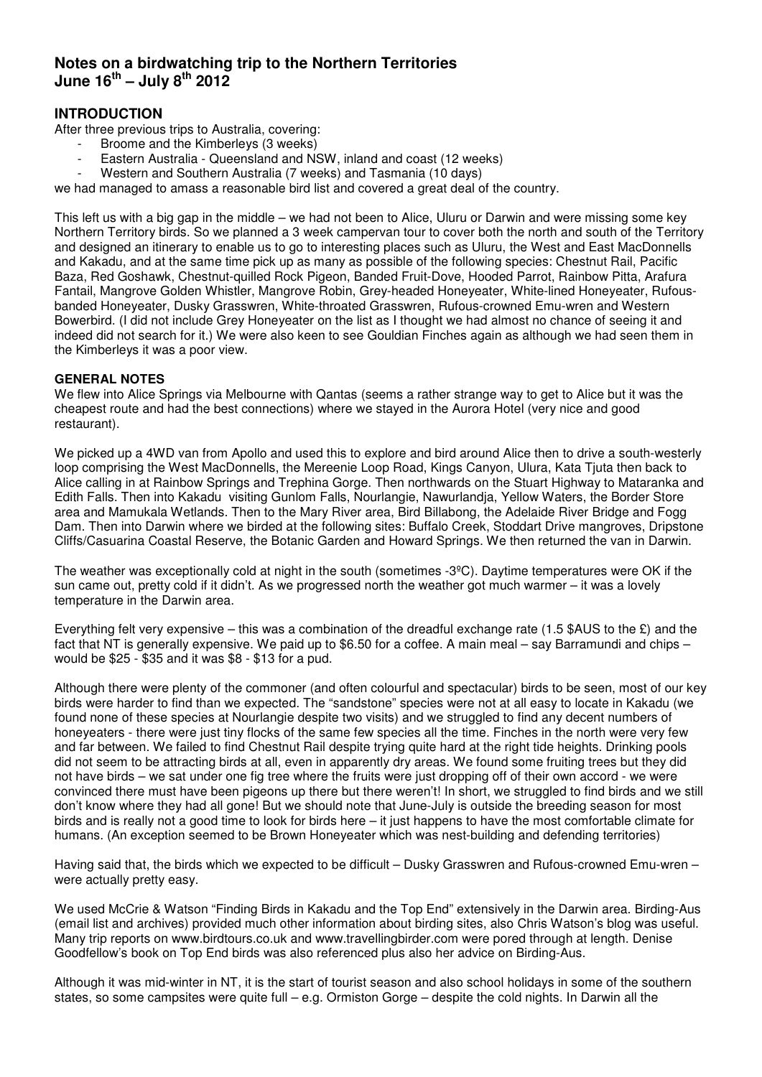# **Notes on a birdwatching trip to the Northern Territories**   $J$ une  $16^{th}$  – July  $8^{th}$  2012

## **INTRODUCTION**

After three previous trips to Australia, covering:

- Broome and the Kimberleys (3 weeks)
- Eastern Australia Queensland and NSW, inland and coast (12 weeks)
- Western and Southern Australia (7 weeks) and Tasmania (10 days)

we had managed to amass a reasonable bird list and covered a great deal of the country.

This left us with a big gap in the middle – we had not been to Alice, Uluru or Darwin and were missing some key Northern Territory birds. So we planned a 3 week campervan tour to cover both the north and south of the Territory and designed an itinerary to enable us to go to interesting places such as Uluru, the West and East MacDonnells and Kakadu, and at the same time pick up as many as possible of the following species: Chestnut Rail, Pacific Baza, Red Goshawk, Chestnut-quilled Rock Pigeon, Banded Fruit-Dove, Hooded Parrot, Rainbow Pitta, Arafura Fantail, Mangrove Golden Whistler, Mangrove Robin, Grey-headed Honeyeater, White-lined Honeyeater, Rufousbanded Honeyeater, Dusky Grasswren, White-throated Grasswren, Rufous-crowned Emu-wren and Western Bowerbird. (I did not include Grey Honeyeater on the list as I thought we had almost no chance of seeing it and indeed did not search for it.) We were also keen to see Gouldian Finches again as although we had seen them in the Kimberleys it was a poor view.

## **GENERAL NOTES**

We flew into Alice Springs via Melbourne with Qantas (seems a rather strange way to get to Alice but it was the cheapest route and had the best connections) where we stayed in the Aurora Hotel (very nice and good restaurant).

We picked up a 4WD van from Apollo and used this to explore and bird around Alice then to drive a south-westerly loop comprising the West MacDonnells, the Mereenie Loop Road, Kings Canyon, Ulura, Kata Tjuta then back to Alice calling in at Rainbow Springs and Trephina Gorge. Then northwards on the Stuart Highway to Mataranka and Edith Falls. Then into Kakadu visiting Gunlom Falls, Nourlangie, Nawurlandja, Yellow Waters, the Border Store area and Mamukala Wetlands. Then to the Mary River area, Bird Billabong, the Adelaide River Bridge and Fogg Dam. Then into Darwin where we birded at the following sites: Buffalo Creek, Stoddart Drive mangroves, Dripstone Cliffs/Casuarina Coastal Reserve, the Botanic Garden and Howard Springs. We then returned the van in Darwin.

The weather was exceptionally cold at night in the south (sometimes  $-3^{\circ}$ C). Daytime temperatures were OK if the sun came out, pretty cold if it didn't. As we progressed north the weather got much warmer – it was a lovely temperature in the Darwin area.

Everything felt very expensive – this was a combination of the dreadful exchange rate (1.5 \$AUS to the  $\hat{\epsilon}$ ) and the fact that NT is generally expensive. We paid up to \$6.50 for a coffee. A main meal – say Barramundi and chips – would be \$25 - \$35 and it was \$8 - \$13 for a pud.

Although there were plenty of the commoner (and often colourful and spectacular) birds to be seen, most of our key birds were harder to find than we expected. The "sandstone" species were not at all easy to locate in Kakadu (we found none of these species at Nourlangie despite two visits) and we struggled to find any decent numbers of honeyeaters - there were just tiny flocks of the same few species all the time. Finches in the north were very few and far between. We failed to find Chestnut Rail despite trying quite hard at the right tide heights. Drinking pools did not seem to be attracting birds at all, even in apparently dry areas. We found some fruiting trees but they did not have birds – we sat under one fig tree where the fruits were just dropping off of their own accord - we were convinced there must have been pigeons up there but there weren't! In short, we struggled to find birds and we still don't know where they had all gone! But we should note that June-July is outside the breeding season for most birds and is really not a good time to look for birds here – it just happens to have the most comfortable climate for humans. (An exception seemed to be Brown Honeyeater which was nest-building and defending territories)

Having said that, the birds which we expected to be difficult – Dusky Grasswren and Rufous-crowned Emu-wren – were actually pretty easy.

We used McCrie & Watson "Finding Birds in Kakadu and the Top End" extensively in the Darwin area. Birding-Aus (email list and archives) provided much other information about birding sites, also Chris Watson's blog was useful. Many trip reports on www.birdtours.co.uk and www.travellingbirder.com were pored through at length. Denise Goodfellow's book on Top End birds was also referenced plus also her advice on Birding-Aus.

Although it was mid-winter in NT, it is the start of tourist season and also school holidays in some of the southern states, so some campsites were quite full – e.g. Ormiston Gorge – despite the cold nights. In Darwin all the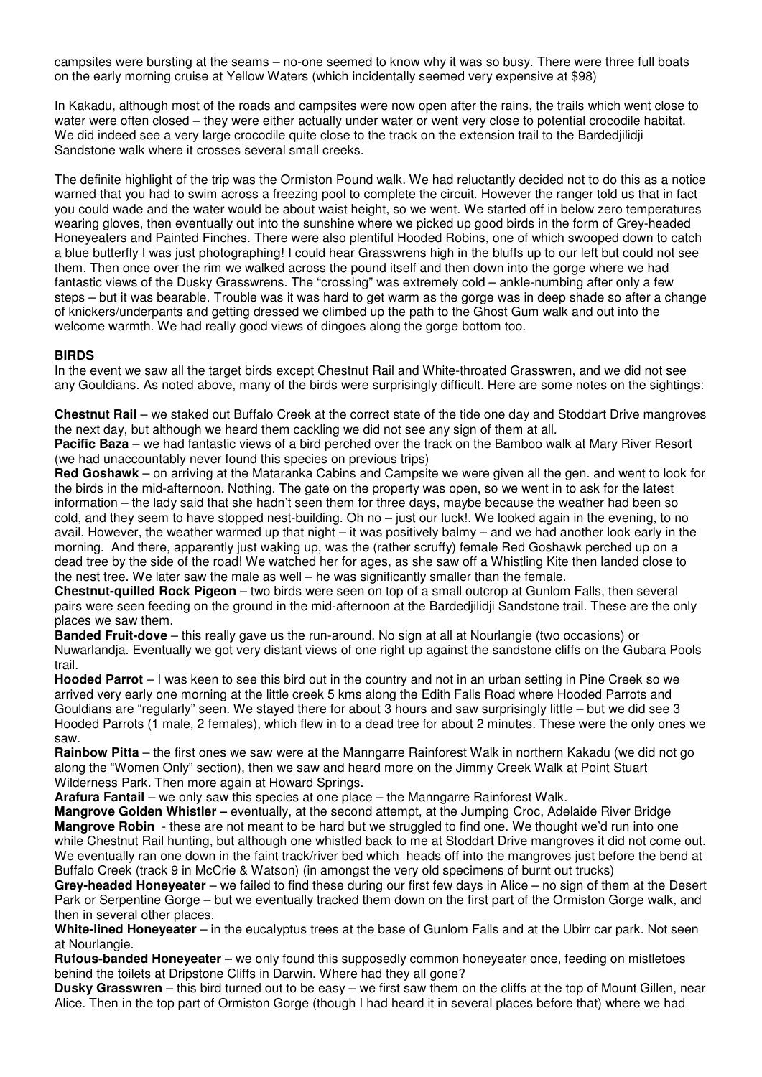campsites were bursting at the seams – no-one seemed to know why it was so busy. There were three full boats on the early morning cruise at Yellow Waters (which incidentally seemed very expensive at \$98)

In Kakadu, although most of the roads and campsites were now open after the rains, the trails which went close to water were often closed – they were either actually under water or went very close to potential crocodile habitat. We did indeed see a very large crocodile quite close to the track on the extension trail to the Bardedjilidji Sandstone walk where it crosses several small creeks.

The definite highlight of the trip was the Ormiston Pound walk. We had reluctantly decided not to do this as a notice warned that you had to swim across a freezing pool to complete the circuit. However the ranger told us that in fact you could wade and the water would be about waist height, so we went. We started off in below zero temperatures wearing gloves, then eventually out into the sunshine where we picked up good birds in the form of Grey-headed Honeyeaters and Painted Finches. There were also plentiful Hooded Robins, one of which swooped down to catch a blue butterfly I was just photographing! I could hear Grasswrens high in the bluffs up to our left but could not see them. Then once over the rim we walked across the pound itself and then down into the gorge where we had fantastic views of the Dusky Grasswrens. The "crossing" was extremely cold – ankle-numbing after only a few steps – but it was bearable. Trouble was it was hard to get warm as the gorge was in deep shade so after a change of knickers/underpants and getting dressed we climbed up the path to the Ghost Gum walk and out into the welcome warmth. We had really good views of dingoes along the gorge bottom too.

#### **BIRDS**

In the event we saw all the target birds except Chestnut Rail and White-throated Grasswren, and we did not see any Gouldians. As noted above, many of the birds were surprisingly difficult. Here are some notes on the sightings:

**Chestnut Rail** – we staked out Buffalo Creek at the correct state of the tide one day and Stoddart Drive mangroves the next day, but although we heard them cackling we did not see any sign of them at all.

**Pacific Baza** – we had fantastic views of a bird perched over the track on the Bamboo walk at Mary River Resort (we had unaccountably never found this species on previous trips)

**Red Goshawk** – on arriving at the Mataranka Cabins and Campsite we were given all the gen. and went to look for the birds in the mid-afternoon. Nothing. The gate on the property was open, so we went in to ask for the latest information – the lady said that she hadn't seen them for three days, maybe because the weather had been so cold, and they seem to have stopped nest-building. Oh no – just our luck!. We looked again in the evening, to no avail. However, the weather warmed up that night – it was positively balmy – and we had another look early in the morning. And there, apparently just waking up, was the (rather scruffy) female Red Goshawk perched up on a dead tree by the side of the road! We watched her for ages, as she saw off a Whistling Kite then landed close to the nest tree. We later saw the male as well – he was significantly smaller than the female.

**Chestnut-quilled Rock Pigeon** – two birds were seen on top of a small outcrop at Gunlom Falls, then several pairs were seen feeding on the ground in the mid-afternoon at the Bardedjilidji Sandstone trail. These are the only places we saw them.

**Banded Fruit-dove** – this really gave us the run-around. No sign at all at Nourlangie (two occasions) or Nuwarlandja. Eventually we got very distant views of one right up against the sandstone cliffs on the Gubara Pools trail.

**Hooded Parrot** – I was keen to see this bird out in the country and not in an urban setting in Pine Creek so we arrived very early one morning at the little creek 5 kms along the Edith Falls Road where Hooded Parrots and Gouldians are "regularly" seen. We stayed there for about 3 hours and saw surprisingly little – but we did see 3 Hooded Parrots (1 male, 2 females), which flew in to a dead tree for about 2 minutes. These were the only ones we saw.

**Rainbow Pitta** – the first ones we saw were at the Manngarre Rainforest Walk in northern Kakadu (we did not go along the "Women Only" section), then we saw and heard more on the Jimmy Creek Walk at Point Stuart Wilderness Park. Then more again at Howard Springs.

**Arafura Fantail** – we only saw this species at one place – the Manngarre Rainforest Walk.

**Mangrove Golden Whistler –** eventually, at the second attempt, at the Jumping Croc, Adelaide River Bridge **Mangrove Robin** - these are not meant to be hard but we struggled to find one. We thought we'd run into one while Chestnut Rail hunting, but although one whistled back to me at Stoddart Drive mangroves it did not come out. We eventually ran one down in the faint track/river bed which heads off into the mangroves just before the bend at Buffalo Creek (track 9 in McCrie & Watson) (in amongst the very old specimens of burnt out trucks)

**Grey-headed Honeyeater** – we failed to find these during our first few days in Alice – no sign of them at the Desert Park or Serpentine Gorge – but we eventually tracked them down on the first part of the Ormiston Gorge walk, and then in several other places.

**White-lined Honeyeater** – in the eucalyptus trees at the base of Gunlom Falls and at the Ubirr car park. Not seen at Nourlangie.

**Rufous-banded Honeyeater** – we only found this supposedly common honeyeater once, feeding on mistletoes behind the toilets at Dripstone Cliffs in Darwin. Where had they all gone?

**Dusky Grasswren** – this bird turned out to be easy – we first saw them on the cliffs at the top of Mount Gillen, near Alice. Then in the top part of Ormiston Gorge (though I had heard it in several places before that) where we had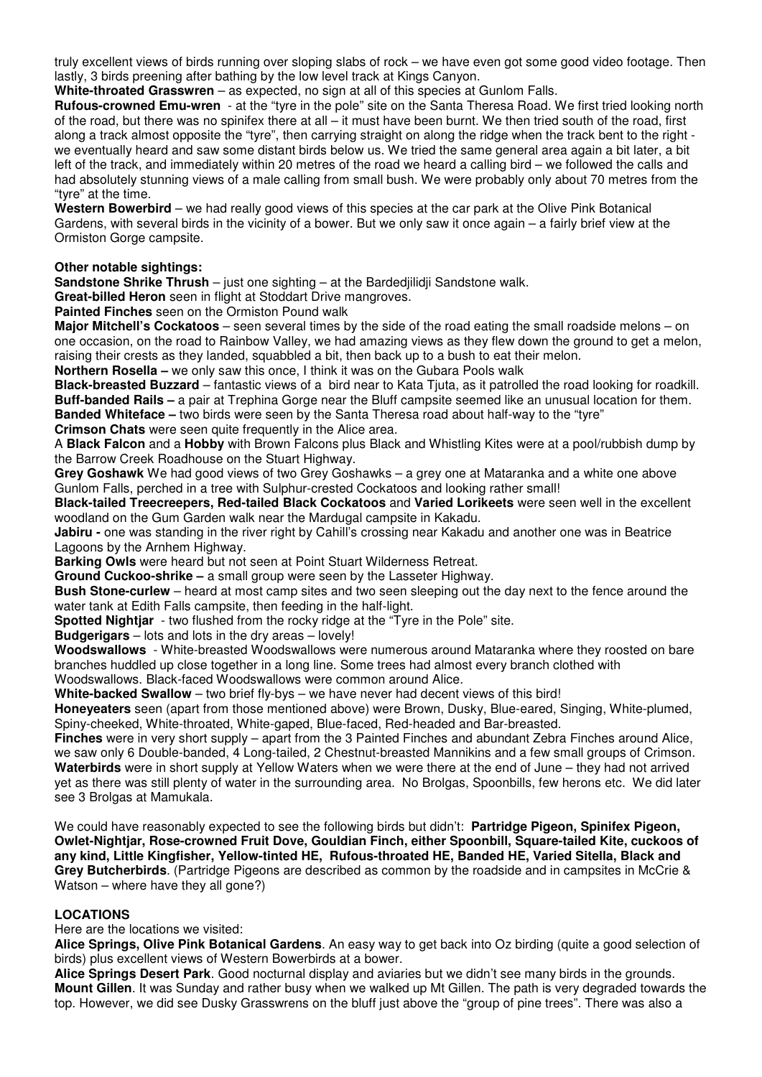truly excellent views of birds running over sloping slabs of rock – we have even got some good video footage. Then lastly, 3 birds preening after bathing by the low level track at Kings Canyon.

**White-throated Grasswren** – as expected, no sign at all of this species at Gunlom Falls.

**Rufous-crowned Emu-wren** - at the "tyre in the pole" site on the Santa Theresa Road. We first tried looking north of the road, but there was no spinifex there at all – it must have been burnt. We then tried south of the road, first along a track almost opposite the "tyre", then carrying straight on along the ridge when the track bent to the right we eventually heard and saw some distant birds below us. We tried the same general area again a bit later, a bit left of the track, and immediately within 20 metres of the road we heard a calling bird – we followed the calls and had absolutely stunning views of a male calling from small bush. We were probably only about 70 metres from the "tyre" at the time.

**Western Bowerbird** – we had really good views of this species at the car park at the Olive Pink Botanical Gardens, with several birds in the vicinity of a bower. But we only saw it once again – a fairly brief view at the Ormiston Gorge campsite.

#### **Other notable sightings:**

**Sandstone Shrike Thrush** – just one sighting – at the Bardedjilidji Sandstone walk.

**Great-billed Heron** seen in flight at Stoddart Drive mangroves.

**Painted Finches** seen on the Ormiston Pound walk

**Major Mitchell's Cockatoos** – seen several times by the side of the road eating the small roadside melons – on one occasion, on the road to Rainbow Valley, we had amazing views as they flew down the ground to get a melon, raising their crests as they landed, squabbled a bit, then back up to a bush to eat their melon.

**Northern Rosella –** we only saw this once, I think it was on the Gubara Pools walk

**Black-breasted Buzzard** – fantastic views of a bird near to Kata Tjuta, as it patrolled the road looking for roadkill. **Buff-banded Rails –** a pair at Trephina Gorge near the Bluff campsite seemed like an unusual location for them. **Banded Whiteface –** two birds were seen by the Santa Theresa road about half-way to the "tyre" **Crimson Chats** were seen quite frequently in the Alice area.

A **Black Falcon** and a **Hobby** with Brown Falcons plus Black and Whistling Kites were at a pool/rubbish dump by the Barrow Creek Roadhouse on the Stuart Highway.

**Grey Goshawk** We had good views of two Grey Goshawks – a grey one at Mataranka and a white one above Gunlom Falls, perched in a tree with Sulphur-crested Cockatoos and looking rather small!

**Black-tailed Treecreepers, Red-tailed Black Cockatoos** and **Varied Lorikeets** were seen well in the excellent woodland on the Gum Garden walk near the Mardugal campsite in Kakadu.

**Jabiru -** one was standing in the river right by Cahill's crossing near Kakadu and another one was in Beatrice Lagoons by the Arnhem Highway.

**Barking Owls** were heard but not seen at Point Stuart Wilderness Retreat.

**Ground Cuckoo-shrike –** a small group were seen by the Lasseter Highway.

**Bush Stone-curlew** – heard at most camp sites and two seen sleeping out the day next to the fence around the water tank at Edith Falls campsite, then feeding in the half-light.

**Spotted Nightjar** - two flushed from the rocky ridge at the "Tyre in the Pole" site.

**Budgerigars** – lots and lots in the dry areas – lovely!

**Woodswallows** - White-breasted Woodswallows were numerous around Mataranka where they roosted on bare branches huddled up close together in a long line. Some trees had almost every branch clothed with Woodswallows. Black-faced Woodswallows were common around Alice.

**White-backed Swallow** – two brief fly-bys – we have never had decent views of this bird!

**Honeyeaters** seen (apart from those mentioned above) were Brown, Dusky, Blue-eared, Singing, White-plumed, Spiny-cheeked, White-throated, White-gaped, Blue-faced, Red-headed and Bar-breasted.

**Finches** were in very short supply – apart from the 3 Painted Finches and abundant Zebra Finches around Alice, we saw only 6 Double-banded, 4 Long-tailed, 2 Chestnut-breasted Mannikins and a few small groups of Crimson. **Waterbirds** were in short supply at Yellow Waters when we were there at the end of June – they had not arrived yet as there was still plenty of water in the surrounding area. No Brolgas, Spoonbills, few herons etc. We did later see 3 Brolgas at Mamukala.

We could have reasonably expected to see the following birds but didn't: **Partridge Pigeon, Spinifex Pigeon, Owlet-Nightjar, Rose-crowned Fruit Dove, Gouldian Finch, either Spoonbill, Square-tailed Kite, cuckoos of any kind, Little Kingfisher, Yellow-tinted HE, Rufous-throated HE, Banded HE, Varied Sitella, Black and Grey Butcherbirds**. (Partridge Pigeons are described as common by the roadside and in campsites in McCrie & Watson – where have they all gone?)

## **LOCATIONS**

Here are the locations we visited:

**Alice Springs, Olive Pink Botanical Gardens**. An easy way to get back into Oz birding (quite a good selection of birds) plus excellent views of Western Bowerbirds at a bower.

**Alice Springs Desert Park**. Good nocturnal display and aviaries but we didn't see many birds in the grounds. **Mount Gillen**. It was Sunday and rather busy when we walked up Mt Gillen. The path is very degraded towards the top. However, we did see Dusky Grasswrens on the bluff just above the "group of pine trees". There was also a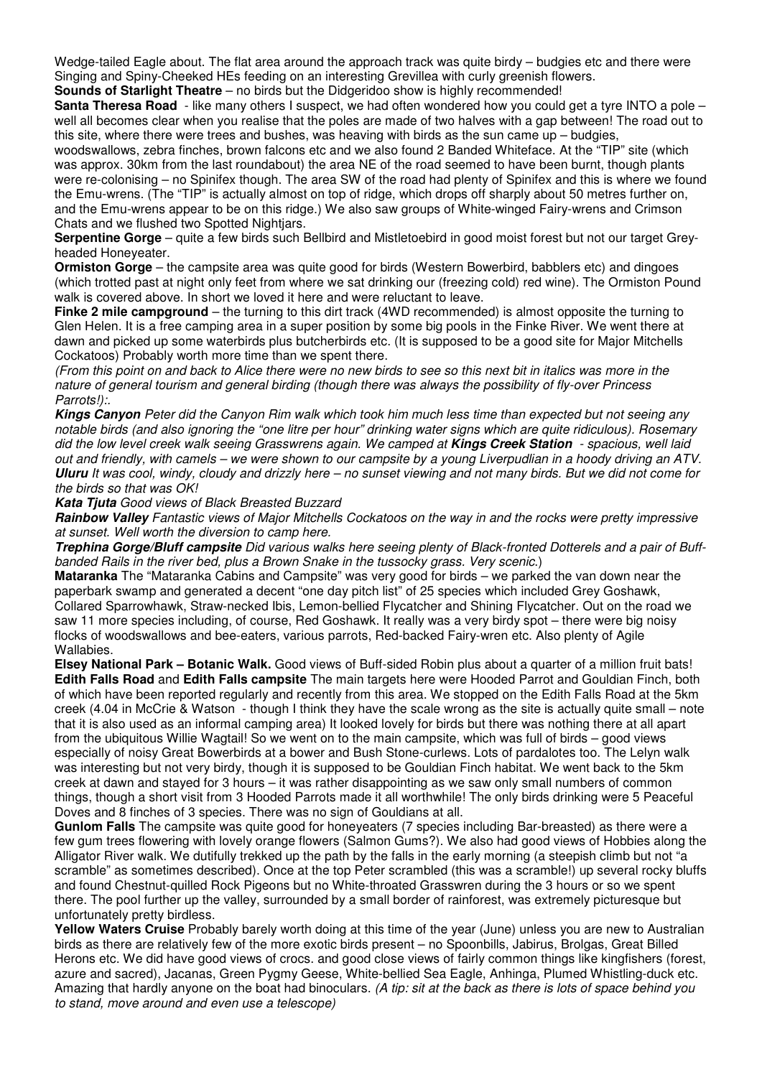Wedge-tailed Eagle about. The flat area around the approach track was quite birdy – budgies etc and there were Singing and Spiny-Cheeked HEs feeding on an interesting Grevillea with curly greenish flowers.

**Sounds of Starlight Theatre** – no birds but the Didgeridoo show is highly recommended!

**Santa Theresa Road** - like many others I suspect, we had often wondered how you could get a tyre INTO a pole – well all becomes clear when you realise that the poles are made of two halves with a gap between! The road out to this site, where there were trees and bushes, was heaving with birds as the sun came up – budgies,

woodswallows, zebra finches, brown falcons etc and we also found 2 Banded Whiteface. At the "TIP" site (which was approx. 30km from the last roundabout) the area NE of the road seemed to have been burnt, though plants were re-colonising – no Spinifex though. The area SW of the road had plenty of Spinifex and this is where we found the Emu-wrens. (The "TIP" is actually almost on top of ridge, which drops off sharply about 50 metres further on, and the Emu-wrens appear to be on this ridge.) We also saw groups of White-winged Fairy-wrens and Crimson Chats and we flushed two Spotted Nightjars.

**Serpentine Gorge** – quite a few birds such Bellbird and Mistletoebird in good moist forest but not our target Greyheaded Honeyeater.

**Ormiston Gorge** – the campsite area was quite good for birds (Western Bowerbird, babblers etc) and dingoes (which trotted past at night only feet from where we sat drinking our (freezing cold) red wine). The Ormiston Pound walk is covered above. In short we loved it here and were reluctant to leave.

**Finke 2 mile campground** – the turning to this dirt track (4WD recommended) is almost opposite the turning to Glen Helen. It is a free camping area in a super position by some big pools in the Finke River. We went there at dawn and picked up some waterbirds plus butcherbirds etc. (It is supposed to be a good site for Major Mitchells Cockatoos) Probably worth more time than we spent there.

(From this point on and back to Alice there were no new birds to see so this next bit in italics was more in the nature of general tourism and general birding (though there was always the possibility of fly-over Princess Parrots!):.

**Kings Canyon** Peter did the Canyon Rim walk which took him much less time than expected but not seeing any notable birds (and also ignoring the "one litre per hour" drinking water signs which are quite ridiculous). Rosemary did the low level creek walk seeing Grasswrens again. We camped at **Kings Creek Station** - spacious, well laid out and friendly, with camels – we were shown to our campsite by a young Liverpudlian in a hoody driving an ATV. **Uluru** It was cool, windy, cloudy and drizzly here – no sunset viewing and not many birds. But we did not come for the birds so that was OK!

**Kata Tjuta** Good views of Black Breasted Buzzard

**Rainbow Valley** Fantastic views of Major Mitchells Cockatoos on the way in and the rocks were pretty impressive at sunset. Well worth the diversion to camp here.

**Trephina Gorge/Bluff campsite** Did various walks here seeing plenty of Black-fronted Dotterels and a pair of Buffbanded Rails in the river bed, plus a Brown Snake in the tussocky grass. Very scenic.)

**Mataranka** The "Mataranka Cabins and Campsite" was very good for birds – we parked the van down near the paperbark swamp and generated a decent "one day pitch list" of 25 species which included Grey Goshawk, Collared Sparrowhawk, Straw-necked Ibis, Lemon-bellied Flycatcher and Shining Flycatcher. Out on the road we saw 11 more species including, of course, Red Goshawk. It really was a very birdy spot – there were big noisy flocks of woodswallows and bee-eaters, various parrots, Red-backed Fairy-wren etc. Also plenty of Agile Wallabies.

**Elsey National Park – Botanic Walk.** Good views of Buff-sided Robin plus about a quarter of a million fruit bats! **Edith Falls Road** and **Edith Falls campsite** The main targets here were Hooded Parrot and Gouldian Finch, both of which have been reported regularly and recently from this area. We stopped on the Edith Falls Road at the 5km creek (4.04 in McCrie & Watson - though I think they have the scale wrong as the site is actually quite small – note that it is also used as an informal camping area) It looked lovely for birds but there was nothing there at all apart from the ubiquitous Willie Wagtail! So we went on to the main campsite, which was full of birds – good views especially of noisy Great Bowerbirds at a bower and Bush Stone-curlews. Lots of pardalotes too. The Lelyn walk was interesting but not very birdy, though it is supposed to be Gouldian Finch habitat. We went back to the 5km creek at dawn and stayed for 3 hours – it was rather disappointing as we saw only small numbers of common things, though a short visit from 3 Hooded Parrots made it all worthwhile! The only birds drinking were 5 Peaceful Doves and 8 finches of 3 species. There was no sign of Gouldians at all.

**Gunlom Falls** The campsite was quite good for honeyeaters (7 species including Bar-breasted) as there were a few gum trees flowering with lovely orange flowers (Salmon Gums?). We also had good views of Hobbies along the Alligator River walk. We dutifully trekked up the path by the falls in the early morning (a steepish climb but not "a scramble" as sometimes described). Once at the top Peter scrambled (this was a scramble!) up several rocky bluffs and found Chestnut-quilled Rock Pigeons but no White-throated Grasswren during the 3 hours or so we spent there. The pool further up the valley, surrounded by a small border of rainforest, was extremely picturesque but unfortunately pretty birdless.

**Yellow Waters Cruise** Probably barely worth doing at this time of the year (June) unless you are new to Australian birds as there are relatively few of the more exotic birds present – no Spoonbills, Jabirus, Brolgas, Great Billed Herons etc. We did have good views of crocs. and good close views of fairly common things like kingfishers (forest, azure and sacred), Jacanas, Green Pygmy Geese, White-bellied Sea Eagle, Anhinga, Plumed Whistling-duck etc. Amazing that hardly anyone on the boat had binoculars. (A tip: sit at the back as there is lots of space behind you to stand, move around and even use a telescope)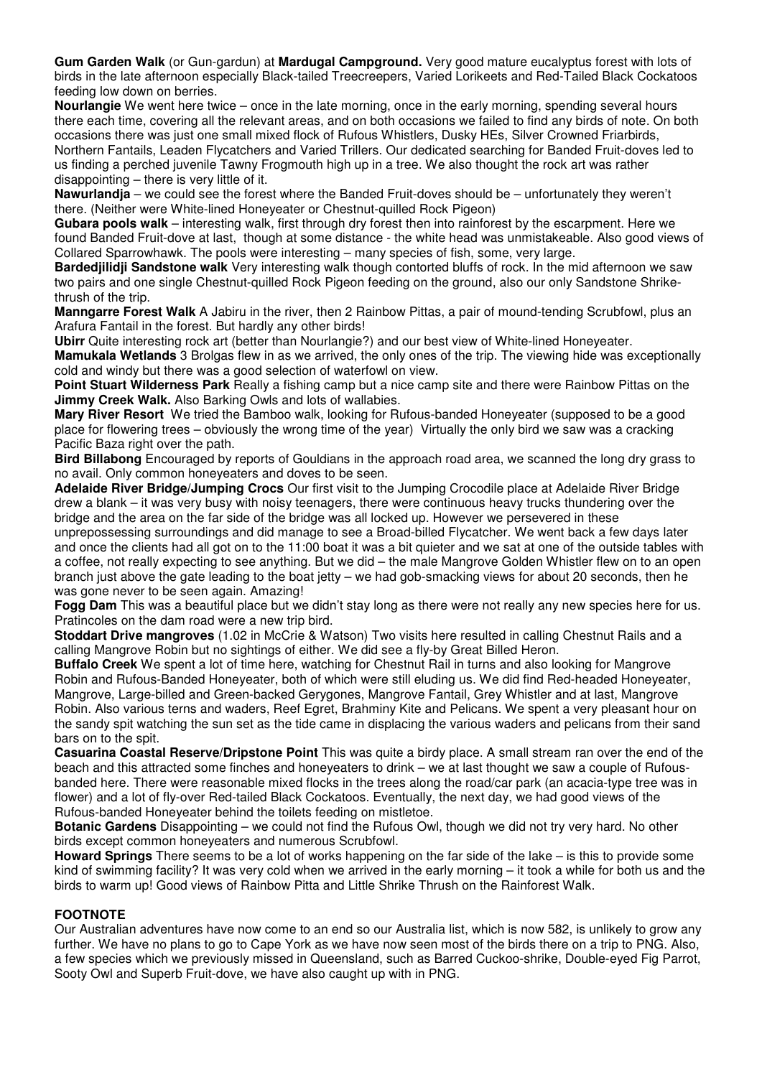**Gum Garden Walk** (or Gun-gardun) at **Mardugal Campground.** Very good mature eucalyptus forest with lots of birds in the late afternoon especially Black-tailed Treecreepers, Varied Lorikeets and Red-Tailed Black Cockatoos feeding low down on berries.

**Nourlangie** We went here twice – once in the late morning, once in the early morning, spending several hours there each time, covering all the relevant areas, and on both occasions we failed to find any birds of note. On both occasions there was just one small mixed flock of Rufous Whistlers, Dusky HEs, Silver Crowned Friarbirds, Northern Fantails, Leaden Flycatchers and Varied Trillers. Our dedicated searching for Banded Fruit-doves led to us finding a perched juvenile Tawny Frogmouth high up in a tree. We also thought the rock art was rather disappointing – there is very little of it.

**Nawurlandja** – we could see the forest where the Banded Fruit-doves should be – unfortunately they weren't there. (Neither were White-lined Honeyeater or Chestnut-quilled Rock Pigeon)

**Gubara pools walk** – interesting walk, first through dry forest then into rainforest by the escarpment. Here we found Banded Fruit-dove at last, though at some distance - the white head was unmistakeable. Also good views of Collared Sparrowhawk. The pools were interesting – many species of fish, some, very large.

**Bardedjilidji Sandstone walk** Very interesting walk though contorted bluffs of rock. In the mid afternoon we saw two pairs and one single Chestnut-quilled Rock Pigeon feeding on the ground, also our only Sandstone Shrikethrush of the trip.

**Manngarre Forest Walk** A Jabiru in the river, then 2 Rainbow Pittas, a pair of mound-tending Scrubfowl, plus an Arafura Fantail in the forest. But hardly any other birds!

**Ubirr** Quite interesting rock art (better than Nourlangie?) and our best view of White-lined Honeyeater.

**Mamukala Wetlands** 3 Brolgas flew in as we arrived, the only ones of the trip. The viewing hide was exceptionally cold and windy but there was a good selection of waterfowl on view.

**Point Stuart Wilderness Park** Really a fishing camp but a nice camp site and there were Rainbow Pittas on the **Jimmy Creek Walk.** Also Barking Owls and lots of wallabies.

**Mary River Resort** We tried the Bamboo walk, looking for Rufous-banded Honeyeater (supposed to be a good place for flowering trees – obviously the wrong time of the year) Virtually the only bird we saw was a cracking Pacific Baza right over the path.

**Bird Billabong** Encouraged by reports of Gouldians in the approach road area, we scanned the long dry grass to no avail. Only common honeyeaters and doves to be seen.

**Adelaide River Bridge/Jumping Crocs** Our first visit to the Jumping Crocodile place at Adelaide River Bridge drew a blank – it was very busy with noisy teenagers, there were continuous heavy trucks thundering over the bridge and the area on the far side of the bridge was all locked up. However we persevered in these

unprepossessing surroundings and did manage to see a Broad-billed Flycatcher. We went back a few days later and once the clients had all got on to the 11:00 boat it was a bit quieter and we sat at one of the outside tables with a coffee, not really expecting to see anything. But we did – the male Mangrove Golden Whistler flew on to an open branch just above the gate leading to the boat jetty – we had gob-smacking views for about 20 seconds, then he was gone never to be seen again. Amazing!

**Fogg Dam** This was a beautiful place but we didn't stay long as there were not really any new species here for us. Pratincoles on the dam road were a new trip bird.

**Stoddart Drive mangroves** (1.02 in McCrie & Watson) Two visits here resulted in calling Chestnut Rails and a calling Mangrove Robin but no sightings of either. We did see a fly-by Great Billed Heron.

**Buffalo Creek** We spent a lot of time here, watching for Chestnut Rail in turns and also looking for Mangrove Robin and Rufous-Banded Honeyeater, both of which were still eluding us. We did find Red-headed Honeyeater, Mangrove, Large-billed and Green-backed Gerygones, Mangrove Fantail, Grey Whistler and at last, Mangrove Robin. Also various terns and waders, Reef Egret, Brahminy Kite and Pelicans. We spent a very pleasant hour on the sandy spit watching the sun set as the tide came in displacing the various waders and pelicans from their sand bars on to the spit.

**Casuarina Coastal Reserve/Dripstone Point** This was quite a birdy place. A small stream ran over the end of the beach and this attracted some finches and honeyeaters to drink – we at last thought we saw a couple of Rufousbanded here. There were reasonable mixed flocks in the trees along the road/car park (an acacia-type tree was in flower) and a lot of fly-over Red-tailed Black Cockatoos. Eventually, the next day, we had good views of the Rufous-banded Honeyeater behind the toilets feeding on mistletoe.

**Botanic Gardens** Disappointing – we could not find the Rufous Owl, though we did not try very hard. No other birds except common honeyeaters and numerous Scrubfowl.

**Howard Springs** There seems to be a lot of works happening on the far side of the lake – is this to provide some kind of swimming facility? It was very cold when we arrived in the early morning – it took a while for both us and the birds to warm up! Good views of Rainbow Pitta and Little Shrike Thrush on the Rainforest Walk.

## **FOOTNOTE**

Our Australian adventures have now come to an end so our Australia list, which is now 582, is unlikely to grow any further. We have no plans to go to Cape York as we have now seen most of the birds there on a trip to PNG. Also, a few species which we previously missed in Queensland, such as Barred Cuckoo-shrike, Double-eyed Fig Parrot, Sooty Owl and Superb Fruit-dove, we have also caught up with in PNG.